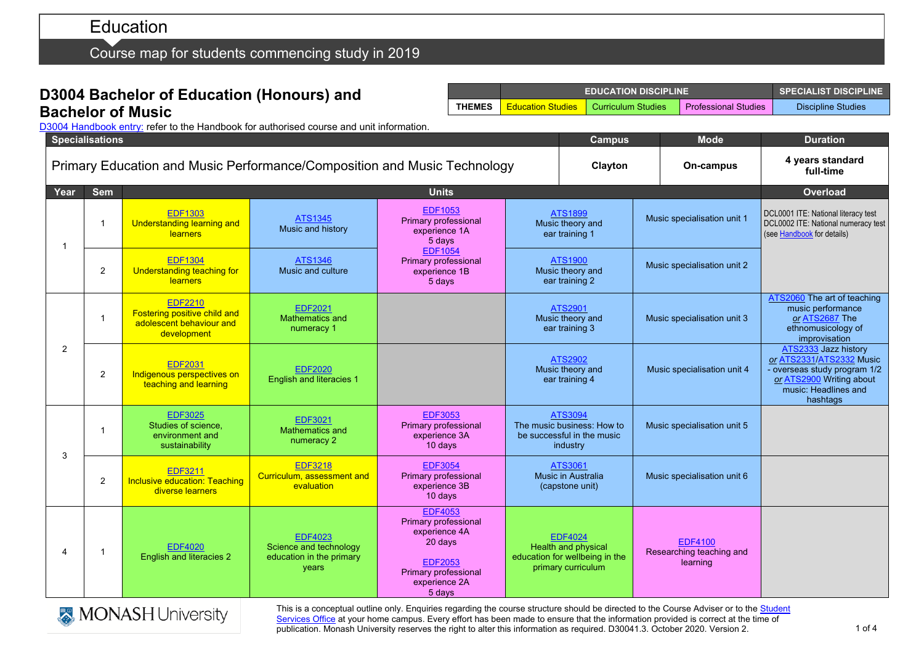# Education

Course map for students commencing study in 2019

### **D3004 Bachelor of Education (Honours) and Bachelor of Music**

**EDUCATION DISCIPLINE SPECIALIST DISCIPLINE THEMES** Education Studies Curriculum Studies Professional Studies Discipline Studies

D3004 [Handbook entry:](http://www.monash.edu.au/pubs/2019handbooks/courses/D3004.html) refer to the Handbook for authorised course and unit information.

| <b>Specialisations</b> |                                                                          |                                                                                           |                                                                               |                                                                                                                                                       |                                                                                 | <b>Campus</b>                                                                                 |  | <b>Mode</b>                                                                                              | <b>Duration</b>                                                                                                                                |
|------------------------|--------------------------------------------------------------------------|-------------------------------------------------------------------------------------------|-------------------------------------------------------------------------------|-------------------------------------------------------------------------------------------------------------------------------------------------------|---------------------------------------------------------------------------------|-----------------------------------------------------------------------------------------------|--|----------------------------------------------------------------------------------------------------------|------------------------------------------------------------------------------------------------------------------------------------------------|
|                        | Primary Education and Music Performance/Composition and Music Technology |                                                                                           |                                                                               |                                                                                                                                                       |                                                                                 |                                                                                               |  | On-campus                                                                                                | 4 years standard<br>full-time                                                                                                                  |
| Year                   | <b>Sem</b>                                                               |                                                                                           |                                                                               | <b>Units</b>                                                                                                                                          |                                                                                 |                                                                                               |  | <b>Overload</b>                                                                                          |                                                                                                                                                |
| 1                      | -1                                                                       | <b>EDF1303</b><br><b>Understanding learning and</b><br><b>learners</b>                    | <b>ATS1345</b><br>Music and history                                           | <b>EDF1053</b><br>Primary professional<br>experience 1A<br>5 days                                                                                     |                                                                                 | <b>ATS1899</b><br>Music specialisation unit 1<br>Music theory and<br>ear training 1           |  | DCL0001 ITE: National literacy test<br>DCL0002 ITE: National numeracy test<br>(see Handbook for details) |                                                                                                                                                |
|                        | $\overline{2}$                                                           | <b>EDF1304</b><br><b>Understanding teaching for</b><br>learners                           | ATS1346<br>Music and culture                                                  | <b>EDF1054</b><br>Primary professional<br>experience 1B<br>5 days                                                                                     |                                                                                 | <b>ATS1900</b><br>Music theory and<br>ear training 2                                          |  | Music specialisation unit 2                                                                              |                                                                                                                                                |
|                        | -1                                                                       | <b>EDF2210</b><br>Fostering positive child and<br>adolescent behaviour and<br>development | <b>EDF2021</b><br>Mathematics and<br>numeracy 1                               |                                                                                                                                                       | <b>ATS2901</b><br>Music theory and<br>ear training 3                            |                                                                                               |  | Music specialisation unit 3                                                                              | ATS2060 The art of teaching<br>music performance<br>or ATS2687 The<br>ethnomusicology of<br>improvisation                                      |
| $\overline{2}$         | $\overline{2}$                                                           | <b>EDF2031</b><br>Indigenous perspectives on<br>teaching and learning                     | <b>EDF2020</b><br><b>English and literacies 1</b>                             |                                                                                                                                                       | <b>ATS2902</b><br>Music theory and<br>ear training 4                            |                                                                                               |  | Music specialisation unit 4                                                                              | ATS2333 Jazz history<br>or ATS2331/ATS2332 Music<br>overseas study program 1/2<br>or ATS2900 Writing about<br>music: Headlines and<br>hashtags |
| 3                      | -1                                                                       | <b>EDF3025</b><br>Studies of science,<br>environment and<br>sustainability                | <b>EDF3021</b><br>Mathematics and<br>numeracy 2                               | <b>EDF3053</b><br>Primary professional<br>experience 3A<br>10 days                                                                                    | ATS3094<br>The music business: How to<br>be successful in the music<br>industry |                                                                                               |  | Music specialisation unit 5                                                                              |                                                                                                                                                |
|                        | $\overline{2}$                                                           | <b>EDF3211</b><br><b>Inclusive education: Teaching</b><br>diverse learners                | <b>EDF3218</b><br>Curriculum, assessment and<br>evaluation                    | <b>EDF3054</b><br>Primary professional<br>experience 3B<br>10 days                                                                                    | ATS3061<br>Music in Australia<br>(capstone unit)                                |                                                                                               |  | Music specialisation unit 6                                                                              |                                                                                                                                                |
| 4                      | $\overline{1}$                                                           | <b>EDF4020</b><br><b>English and literacies 2</b>                                         | <b>EDF4023</b><br>Science and technology<br>education in the primary<br>years | <b>EDF4053</b><br><b>Primary professional</b><br>experience 4A<br>20 days<br><b>EDF2053</b><br><b>Primary professional</b><br>experience 2A<br>5 days |                                                                                 | <b>EDF4024</b><br>Health and physical<br>education for wellbeing in the<br>primary curriculum |  | <b>EDF4100</b><br>Researching teaching and<br>learning                                                   |                                                                                                                                                |



This is a conceptual outline only. Enquiries regarding the course structure should be directed to the Course Adviser or to the Student [Services Office](https://www.monash.edu/education/current-students/contact) at your home campus. Every effort has been made to ensure that the information provided is correct at the time of publication. Monash University reserves the right to alter this information as required. D30041.3. October 2020. Version 2.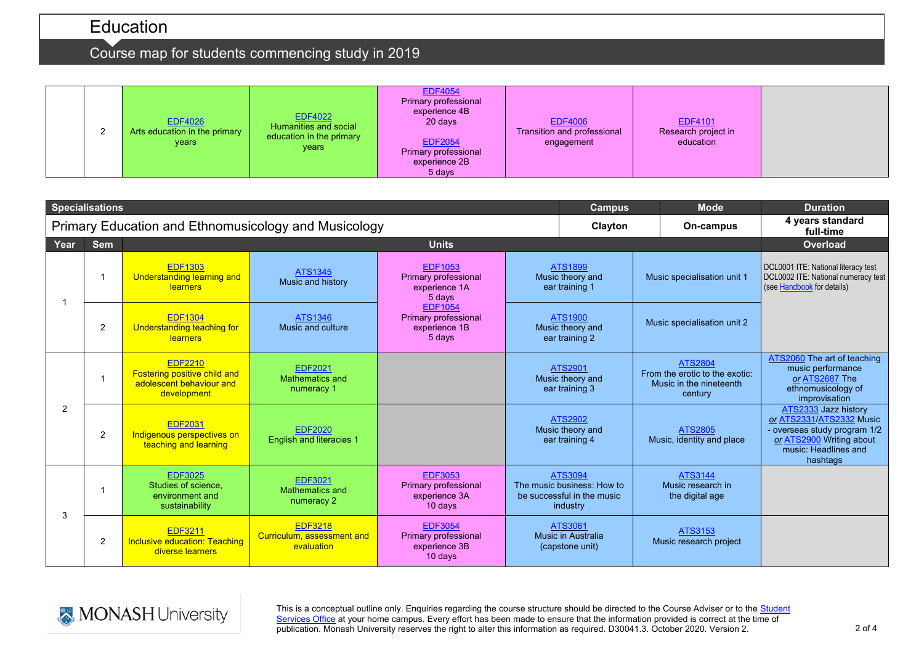# Education

# Course map for students commencing study in 2019



|      | <b>Specialisations</b> |                                                                                           |                                                            | <b>Campus</b>                                                               | <b>Mode</b>                                                                     | <b>Duration</b>                                      |                                                                                        |                                                                                                                                                  |
|------|------------------------|-------------------------------------------------------------------------------------------|------------------------------------------------------------|-----------------------------------------------------------------------------|---------------------------------------------------------------------------------|------------------------------------------------------|----------------------------------------------------------------------------------------|--------------------------------------------------------------------------------------------------------------------------------------------------|
|      |                        |                                                                                           | Primary Education and Ethnomusicology and Musicology       | Clayton                                                                     | On-campus                                                                       | 4 years standard<br>full-time                        |                                                                                        |                                                                                                                                                  |
| Year | <b>Sem</b>             | <b>Units</b>                                                                              |                                                            |                                                                             |                                                                                 |                                                      | Overload                                                                               |                                                                                                                                                  |
|      |                        | <b>EDF1303</b><br><b>Understanding learning and</b><br>learners                           | ATS1345<br>Music and history                               | <b>EDF1053</b><br>Primary professional<br>experience 1A<br>5 days           |                                                                                 | <b>ATS1899</b><br>Music theory and<br>ear training 1 | Music specialisation unit 1                                                            | DCL0001 ITE: National literacy test<br>DCL0002 ITE: National numeracy test<br>(see Handbook for details)                                         |
|      | 2                      | <b>EDF1304</b><br>Understanding teaching for<br>learners                                  | ATS1346<br>Music and culture                               | <b>EDF1054</b><br>Primary professional<br>experience 1B<br>5 days           |                                                                                 | ATS1900<br>Music theory and<br>ear training 2        | Music specialisation unit 2                                                            |                                                                                                                                                  |
| 2    |                        | <b>EDF2210</b><br>Fostering positive child and<br>adolescent behaviour and<br>development | <b>EDF2021</b><br>Mathematics and<br>numeracy 1            |                                                                             | ATS2901<br>Music theory and<br>ear training 3                                   |                                                      | <b>ATS2804</b><br>From the erotic to the exotic:<br>Music in the nineteenth<br>century | ATS2060 The art of teaching<br>music performance<br>or ATS2687 The<br>ethnomusicology of<br>improvisation                                        |
|      | $\overline{2}$         | <b>EDF2031</b><br>Indigenous perspectives on<br>teaching and learning                     | <b>EDF2020</b><br><b>English and literacies 1</b>          |                                                                             |                                                                                 | ATS2902<br>Music theory and<br>ear training 4        | <b>ATS2805</b><br>Music, identity and place                                            | ATS2333 Jazz history<br>or ATS2331/ATS2332 Music<br>- overseas study program 1/2<br>or ATS2900 Writing about<br>music: Headlines and<br>hashtags |
| 3    |                        | <b>EDF3025</b><br>Studies of science.<br>environment and<br>sustainability                | <b>EDF3021</b><br>Mathematics and<br>numeracy 2            | <b>EDF3053</b><br><b>Primary professional</b><br>experience 3A<br>$10$ days | ATS3094<br>The music business: How to<br>be successful in the music<br>industry |                                                      | ATS3144<br>Music research in<br>the digital age                                        |                                                                                                                                                  |
|      | 2                      | <b>EDF3211</b><br><b>Inclusive education: Teaching</b><br>diverse learners                | <b>EDF3218</b><br>Curriculum, assessment and<br>evaluation | <b>EDF3054</b><br>Primary professional<br>experience 3B<br>10 days          |                                                                                 | ATS3061<br>Music in Australia<br>(capstone unit)     | ATS3153<br>Music research project                                                      |                                                                                                                                                  |



This is a conceptual outline only. Enquiries regarding the course structure should be directed to the Course Adviser or to the Student [Services Office](https://www.monash.edu/education/current-students/contact) at your home campus. Every effort has been made to ensure that the information provided is correct at the time of publication. Monash University reserves the right to alter this information as required. D30041.3. October 2020. Version 2.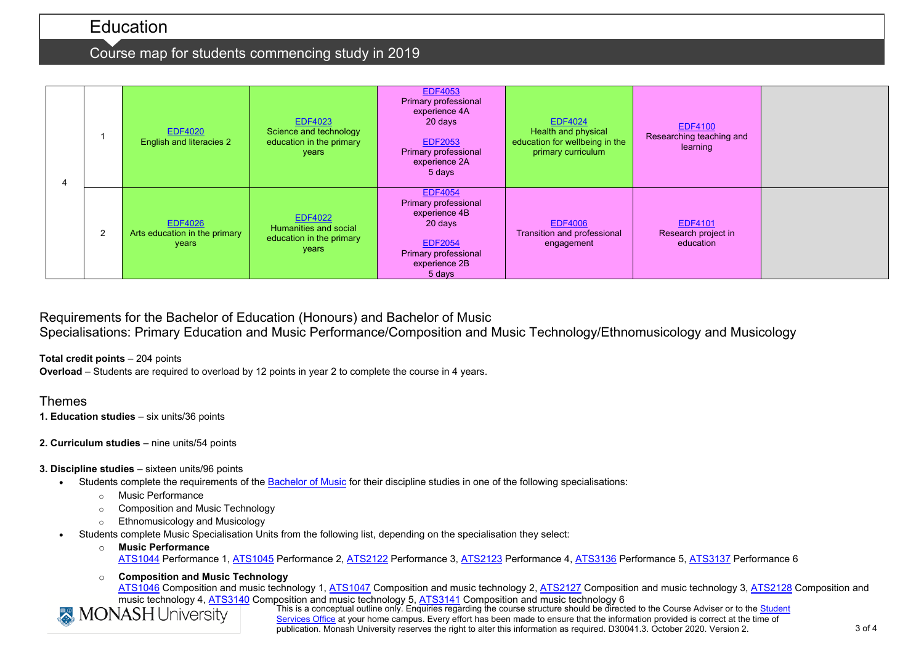## Education

### Course map for students commencing study in 2019

|  |   | <b>EDF4020</b><br><b>English and literacies 2</b>        | <b>EDF4023</b><br>Science and technology<br>education in the primary<br>years | <b>EDF4053</b><br>Primary professional<br>experience 4A<br>20 days<br><b>EDF2053</b><br>Primary professional<br>experience 2A<br>5 days | <b>EDF4024</b><br>Health and physical<br>education for wellbeing in the<br>primary curriculum | <b>EDF4100</b><br>Researching teaching and<br>learning |  |
|--|---|----------------------------------------------------------|-------------------------------------------------------------------------------|-----------------------------------------------------------------------------------------------------------------------------------------|-----------------------------------------------------------------------------------------------|--------------------------------------------------------|--|
|  | 2 | <b>EDF4026</b><br>Arts education in the primary<br>years | <b>EDF4022</b><br>Humanities and social<br>education in the primary<br>years  | <b>EDF4054</b><br>Primary professional<br>experience 4B<br>20 days<br><b>EDF2054</b><br>Primary professional<br>experience 2B<br>5 days | <b>EDF4006</b><br>Transition and professional<br>engagement                                   | <b>EDF4101</b><br>Research project in<br>education     |  |

### Requirements for the Bachelor of Education (Honours) and Bachelor of Music Specialisations: Primary Education and Music Performance/Composition and Music Technology/Ethnomusicology and Musicology

**Total credit points** – 204 points

**Overload** – Students are required to overload by 12 points in year 2 to complete the course in 4 years.

### Themes

- **1. Education studies** six units/36 points
- **2. Curriculum studies** nine units/54 points

### **3. Discipline studies** – sixteen units/96 points

- Students complete the requirements of the [Bachelor of Music](http://www.monash.edu.au/pubs/2019handbooks/courses/A2003.html) for their discipline studies in one of the following specialisations:
	- o Music Performance
	- o Composition and Music Technology
	- o Ethnomusicology and Musicology
- Students complete Music Specialisation Units from the following list, depending on the specialisation they select:
	- o **Music Performance** [ATS1044](http://www.monash.edu.au/pubs/handbooks/units/ATS1044.html) Performance 1, [ATS1045](http://www.monash.edu.au/pubs/handbooks/units/ATS1045.html) Performance 2, [ATS2122](http://www.monash.edu.au/pubs/handbooks/units/ATS2122.html) Performance 3, [ATS2123](http://www.monash.edu.au/pubs/handbooks/units/ATS2123.html) Performance 4, [ATS3136](http://www.monash.edu.au/pubs/handbooks/units/ATS3136.html) Performance 5, [ATS3137](http://www.monash.edu.au/pubs/handbooks/units/ATS3137.html) Performance 6
	- o **Composition and Music Technology** [ATS1046](http://www.monash.edu.au/pubs/handbooks/units/ATS1046.html) Composition and music technology 1, [ATS1047](http://www.monash.edu.au/pubs/handbooks/units/ATS1047.html) Composition and music technology 2, [ATS2127](http://www.monash.edu.au/pubs/handbooks/units/ATS2127.html) Composition and music technology 3, [ATS2128](http://www.monash.edu.au/pubs/handbooks/units/ATS2128.html) Composition and music technology 4, [ATS3140](http://www.monash.edu.au/pubs/handbooks/units/ATS3140.html) Composition and music technology 5, [ATS3141](http://www.monash.edu.au/pubs/handbooks/units/ATS3141.html) Composition and music technology 6



This is a conceptual outline only. Enquiries regarding the course structure should be directed to the Course Adviser or to the Student [Services Office](https://www.monash.edu/education/current-students/contact) at your home campus. Every effort has been made to ensure that the information provided is correct at the time of publication. Monash University reserves the right to alter this information as required. D30041.3. October 2020. Version 2.